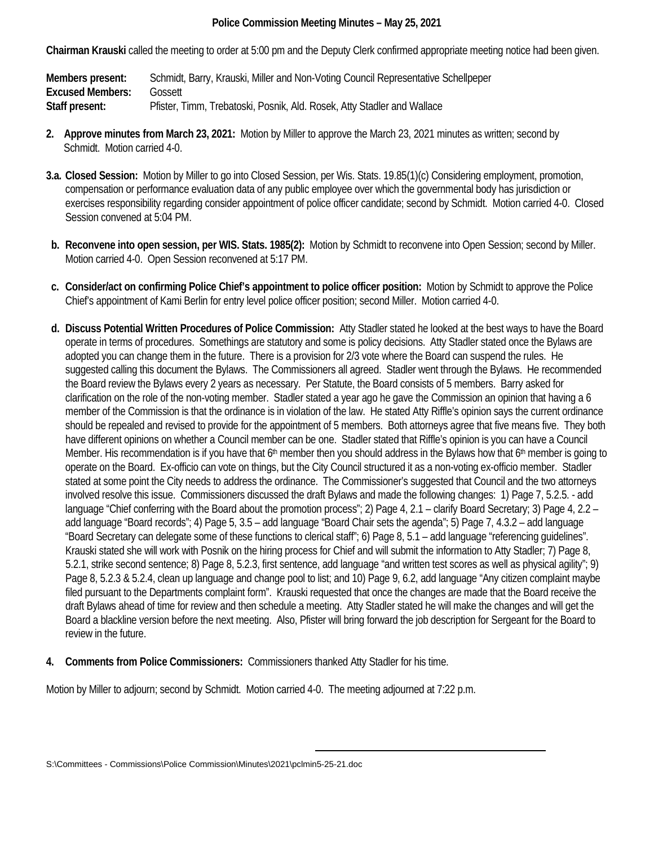## **Police Commission Meeting Minutes – May 25, 2021**

**Chairman Krauski** called the meeting to order at 5:00 pm and the Deputy Clerk confirmed appropriate meeting notice had been given.

**Members present:** Schmidt, Barry, Krauski, Miller and Non-Voting Council Representative Schellpeper **Excused Members:** Gossett **Staff present:** Pfister, Timm, Trebatoski, Posnik, Ald. Rosek, Atty Stadler and Wallace

- **2. Approve minutes from March 23, 2021:** Motion by Miller to approve the March 23, 2021 minutes as written; second by Schmidt. Motion carried 4-0.
- **3.a. Closed Session:** Motion by Miller to go into Closed Session, per Wis. Stats. 19.85(1)(c) Considering employment, promotion, compensation or performance evaluation data of any public employee over which the governmental body has jurisdiction or exercises responsibility regarding consider appointment of police officer candidate; second by Schmidt. Motion carried 4-0. Closed Session convened at 5:04 PM.
- **b. Reconvene into open session, per WIS. Stats. 1985(2):** Motion by Schmidt to reconvene into Open Session; second by Miller. Motion carried 4-0. Open Session reconvened at 5:17 PM.
- **c. Consider/act on confirming Police Chief's appointment to police officer position:** Motion by Schmidt to approve the Police Chief's appointment of Kami Berlin for entry level police officer position; second Miller. Motion carried 4-0.
- **d. Discuss Potential Written Procedures of Police Commission:** Atty Stadler stated he looked at the best ways to have the Board operate in terms of procedures. Somethings are statutory and some is policy decisions. Atty Stadler stated once the Bylaws are adopted you can change them in the future. There is a provision for 2/3 vote where the Board can suspend the rules. He suggested calling this document the Bylaws. The Commissioners all agreed. Stadler went through the Bylaws. He recommended the Board review the Bylaws every 2 years as necessary. Per Statute, the Board consists of 5 members. Barry asked for clarification on the role of the non-voting member. Stadler stated a year ago he gave the Commission an opinion that having a 6 member of the Commission is that the ordinance is in violation of the law. He stated Atty Riffle's opinion says the current ordinance should be repealed and revised to provide for the appointment of 5 members. Both attorneys agree that five means five. They both have different opinions on whether a Council member can be one. Stadler stated that Riffle's opinion is you can have a Council Member. His recommendation is if you have that  $6<sup>th</sup>$  member then you should address in the Bylaws how that  $6<sup>th</sup>$  member is going to operate on the Board. Ex-officio can vote on things, but the City Council structured it as a non-voting ex-officio member. Stadler stated at some point the City needs to address the ordinance. The Commissioner's suggested that Council and the two attorneys involved resolve this issue. Commissioners discussed the draft Bylaws and made the following changes: 1) Page 7, 5.2.5. - add language "Chief conferring with the Board about the promotion process"; 2) Page 4, 2.1 – clarify Board Secretary; 3) Page 4, 2.2 – add language "Board records"; 4) Page 5, 3.5 – add language "Board Chair sets the agenda"; 5) Page 7, 4.3.2 – add language "Board Secretary can delegate some of these functions to clerical staff"; 6) Page 8, 5.1 – add language "referencing guidelines". Krauski stated she will work with Posnik on the hiring process for Chief and will submit the information to Atty Stadler; 7) Page 8, 5.2.1, strike second sentence; 8) Page 8, 5.2.3, first sentence, add language "and written test scores as well as physical agility"; 9) Page 8, 5.2.3 & 5.2.4, clean up language and change pool to list; and 10) Page 9, 6.2, add language "Any citizen complaint maybe filed pursuant to the Departments complaint form". Krauski requested that once the changes are made that the Board receive the draft Bylaws ahead of time for review and then schedule a meeting. Atty Stadler stated he will make the changes and will get the Board a blackline version before the next meeting. Also, Pfister will bring forward the job description for Sergeant for the Board to review in the future.
- **4. Comments from Police Commissioners:** Commissioners thanked Atty Stadler for his time.

Motion by Miller to adjourn; second by Schmidt. Motion carried 4-0. The meeting adjourned at 7:22 p.m.